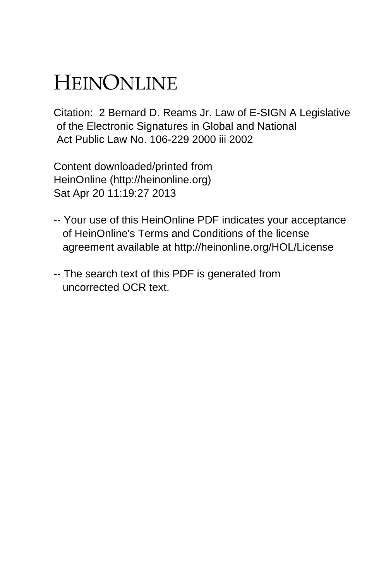# HEINONLINE

Citation: 2 Bernard D. Reams Jr. Law of E-SIGN A Legislative of the Electronic Signatures in Global and National Act Public Law No. 106-229 2000 iii 2002

Content downloaded/printed from HeinOnline (http://heinonline.org) Sat Apr 20 11:19:27 2013

- -- Your use of this HeinOnline PDF indicates your acceptance of HeinOnline's Terms and Conditions of the license agreement available at http://heinonline.org/HOL/License
- -- The search text of this PDF is generated from uncorrected OCR text.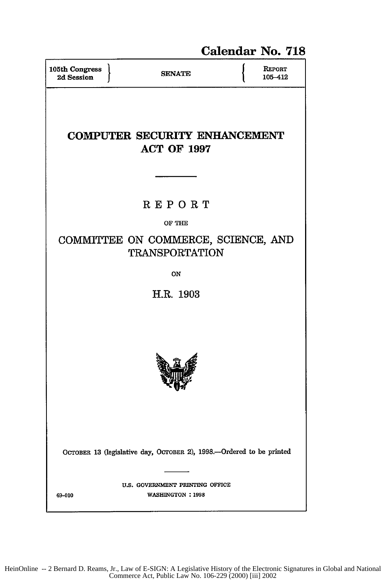## Calendar No. **718**

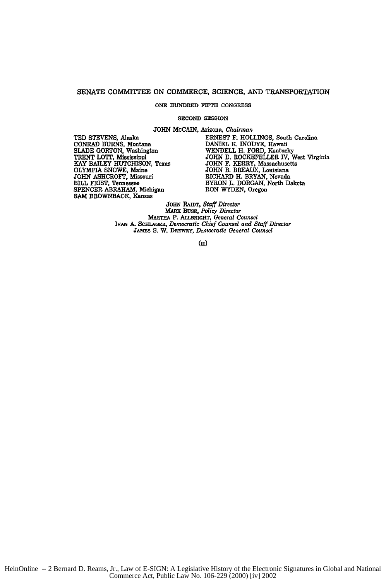#### SENATE COMMITTEE ON COMMERCE, SCIENCE, AND TRANSPORTATION

#### **ONE HUNDRED FIFTH CONGRESS**

#### **SECOND SESSION**

**JOHN** McCAIN, Arizona, *Chairman*

**CONRAD BURNS, Montana**<br>SLADE GORTON, Washington TRENT LOTT, Mississippi JOHN D. ROCKEFELLER IV, WARY BAILEY HUTCHISON, Texas JOHN F. KERRY, Massachusetts OLYMPIA SNOWE, Maine JOHN B. BREAUX, Louisiana JOHN ASHCROFT, Missouri RICHARD H. BRYAN, Nevada OLYMPIA **SNOWE,** Maine **JOHN** B. BREAUX, Louisiana **JOHN** ASHCROFT, Missouri RICHARD H. BRYAN, Nevada SPENCER ABRAHAM, Michigan **SAM** BROWNBACK, Kansas

**TED STEVENS,** Alaska **ERNEST** F. **HOLLINGS,** South Carolina **SLADE** GORTON, Washington **WENDELL** H. FORD, Kentucky TRENT LOTT, Mississippi **JOHN D.** ROCKEFELLER IV, West Virginia BILL FRIST, Tennessee BYRON L. DORGAN, North Dakota<br>SPENCER ABRAHAM, Michigan RON WYDEN, Oregon

> JOHN *RAEDT, Staff Director* **MARK** BusS, *Policy Director* MARTHA P. ALLBRIGHT, *General Counsel IvAN* **A.** SCHI.AGER, *Democratic Chief Counsel and Staff Director JANms* **S.** W. DREWay, *Democratic General Counsel*

> > **(ii)**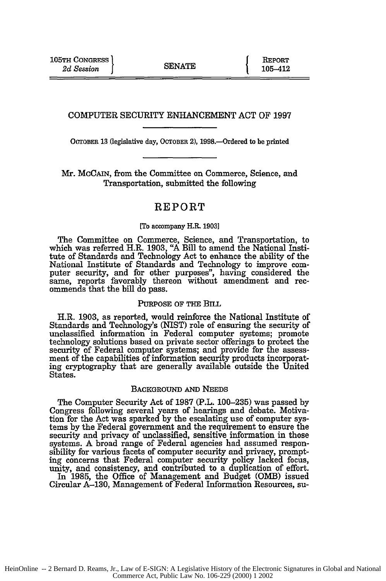#### COMPUTER SECURITY ENHANCEMENT **ACT** OF 1997

OCTOBER **13** (legislative day, **OCTOBER** 2), 1998.-Ordered to be printed

Mr. **MCCAIN,** from the Committee on Commerce, Science, and Transportation, submitted the following

### REPORT

#### [To accompany H.R. 1903]

The Committee on Commerce, Science, and Transportation, to which was referred H.R. 1903, "A Bill to amend the National Institute of Standards and Technology Act to enhance the ability of the National Institute of Standards and Technology to improve computer security, and for other purposes", having considered the same, reports favorably thereon without amendment and recommends that the bill do pass.

#### PURPOSE OF THE BiLL

H.R. **1903,** as reported, would reinforce the National Institute of Standards and Technology's (NIST) role of ensuring the security of unclassified information in Federal computer systems; promote technology solutions based on private sector offerings to protect the security of Federal computer systems; and provide for the assess- ment of the capabilities of information security products incorporating cryptography that are generally available outside the United States.

#### BACKGROUND AND NEEDS

The Computer Security Act of 1987 (P.L. 100-235) was passed by Congress following several years of hearings and debate. Motivation for the Act was sparked by the escalating use of computer systems by the Federal government and the requirement to ensure the security and privacy of unclassified, sensitive information in those systems. A broad range of Federal agencies had assumed responsibility for various facets of computer security and privacy, prompting concerns that Federal computer security policy lacked focus, unity, and consistency, and contributed to a duplication of effort

In 1985, the Office of Management and Budget (OMB) issued Circular **A-130,** Management of Federal Information Resources, su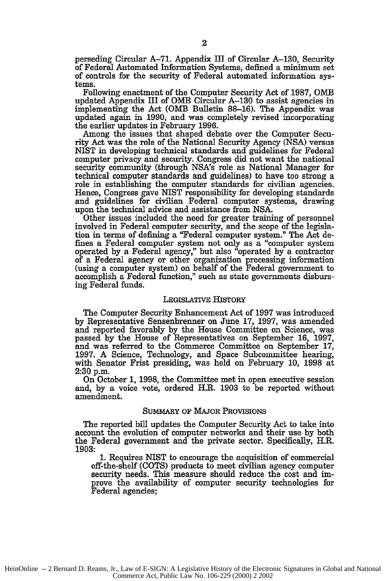perseding Circular A-71. Appendix Ill of Circular **A-130,** Security of Federal Automated Information Systems, defined a minimum set of controls for the security of Federal automated information systems.

Following enactment of the Computer Security Act of 1987, OMB updated Appendix III of OMB Circular **A-130** to assist agencies in implementing the Act (OMB Bulletin 88-16). The Appendix was updated again in 1990, and was completely revised incorporating the earlier updates in February 1996.

Among the issues that shaped debate over the Computer Security Act was the role of the National Security Agency (NSA) versus NIST in developing technical standards and guidelines for Federal computer privacy and security. Congress did not want the national security community (through NSA's role as National Manager for technical computer standards and guidelines) to have too strong a role in establishing the computer standards for civilian agencies. Hence, Congress gave NIST responsibility for developing standards and guidelines for civilian Federal computer systems, drawing upon the technical advice and assistance from NSA.

Other issues included the need for greater training of personnel involved in Federal computer security, and the scope of the legislation in terms of defining a "Federal computer system." The Act defines a Federal computer system not only as a "computer system operated by a Federal agency," but also "operated by a contractor of a Federal agency or other organization processing information (using a computer system) on behalf of the Federal government to accomplish a Federal function," such as state governments disbursing Federal funds.

#### LEGISLATIVE HISTORY

The Computer Security Enhancement Act of 1997 was introduced by Representative Sensenbrenner on June 17, 1997, was amended and reported favorably by the House Committee on Science, was passed by the House of Representatives on September 16, 1997, and was referred to the Commerce Committee on September 17, 1997. A Science, Technology, and Space Subcommittee hearing, with Senator Frist presiding, was held on February 10, 1998 at 2:30 p.m.

On October 1, 1998, the Committee met in open executive session and, by a voice vote, ordered H.R. 1903 to be reported without amendment.

#### SUMMARY OF MAJOR PROVISIONS

The reported bill updates the Computer Security Act to take into account the evolution of computer networks and their use by both the Federal government and the private sector. Specifically, H.R. **1903:**

**1.** Requires NIST to encourage the acquisition of commercial off-the-shelf (COTS) products to meet civilian agency computer security needs. This measure should reduce the cost and improve the availability of computer security technologies for Federal agencies;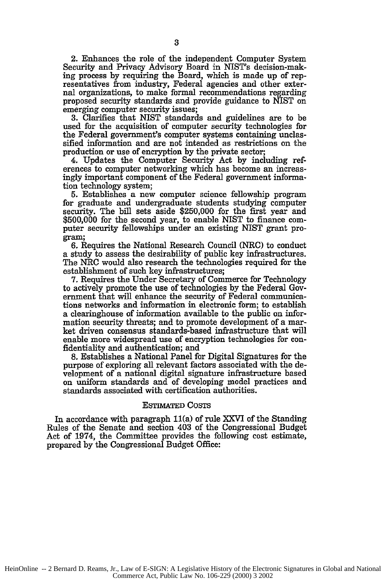2. Enhances the role of the independent Computer System Security and Privacy Advisory Board in NIST's decision-making process by requiring the Board, which is made up of representatives from industry, Federal agencies and other external organizations, to make formal recommendations regarding proposed security standards and provide guidance to NIST on emerging computer security issues;

3. Clarifies that NIST standards and guidelines are to be used for the acquisition of computer security technologies for the Federal government's computer systems containing unclassified information and are not intended as restrictions on the production or use of encryption by the private sector;

4. Updates the Computer Security Act by including references to computer networking which has become an increasingly important component of the Federal government information technology system;

**5.** Establishes a new computer science fellowship program for graduate and undergraduate students studying computer security. The bill sets aside \$250,000 for the first year and \$500,000 for the second year, to enable NIST to finance computer security fellowships under an existing NIST grant program;

6. Requires the National Research Council (NRC) to conduct a study to assess the desirability of public key infrastructures. The NRC would also research the technologies required for the establishment of such key infrastructures;

7. Requires the Under Secretary of Commerce for Technology to actively promote the use of technologies by the Federal Government that will enhance the security of Federal communications networks and information in electronic form; to establish a clearinghouse of information available to the public on information security threats; and to promote development of a market driven consensus standards-based infrastructure that will enable more widespread use of encryption technologies for confidentiality and authentication; and

**8.** Establishes a National Panel for Digital Signatures for the purpose of exploring all relevant factors associated with the development of a national digital signature infrastructure based on uniform standards and of developing model practices and standards associated with certification authorities.

#### ESTMATED COSTS

In accordance with paragraph 11(a) of rule XXVI of the Standing Rules of the Senate and section 403 of the Congressional Budget Act of 1974, the Committee provides the following cost estimate, prepared by the Congressional Budget Office: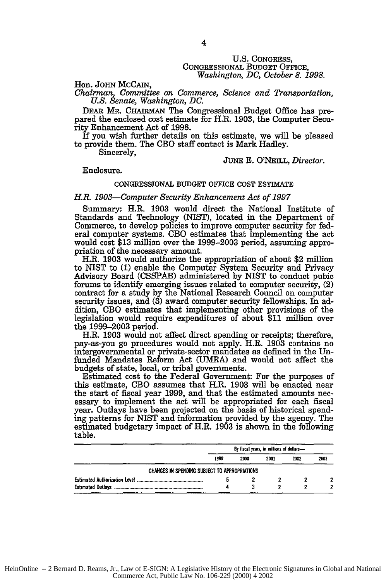#### U.S. CONGRESS, CONGRESSIONAL BuDGET OFFICE, *Washington, DC, October 8. 1998.*

Hon. **JOHN McCAIN,**

*Chairman, Committee on Commerce, Science and Transportation, U.S. Senate, Washington, DC.*

DEAR MR. **CHARMAN** The Congressional Budget Office has prepared the enclosed cost estimate for H.R. 1903, the Computer Security Enhancement Act of 1998.

If you wish further details on this estimate, we will be pleased to provide them. The CBO staff contact is Mark Hadley.

Sincerely,

**JUNE** E. O'NEILL, *Director.*

Enclosure.

#### CONGRESSIONAL **BUDGET** OFFICE COST **ESTIMATE**

#### *H.R. 1903-Computer Security Enhancement Act of 1997*

Summary: H.R. 1903 would direct the National Institute of Standards and Technology (NIST), located in the Department of Commerce, to develop policies to improve computer security for federal computer systems. CBO estimates that implementing the act would cost \$13 million over the 1999-2003 period, assuming appropriation of the necessary amount.

H.R. **1903** would authorize the appropriation of about \$2 million to NIST to **(1)** enable the Computer System Security and Privacy Advisory Board **(CSSPAB)** administered **by NIST** to conduct pubic forums to identify emerging issues related to computer security, (2) contract for a study **by** the National Research Council on computer security issues, and **(3)** award computer security fellowships. In addition, **CBO** estimates that implementing other **provisions** of the legislation would require expenditures of about **\$11 million** over the **1999-2003** period.

**H.R. 1903** would not affect direct spending or receipts; therefore, pay-as-you go procedures would not apply. H.R. **1903** contains no intergovernmental or private-sector mandates as defined in the Unfunded Mandates Reform Act (UMRA) and would not affect the budgets of state, local, or tribal governments.

Estimated cost to the Federal Government: For the purposes of this estimate, CBO assumes that H.R. 1903 will be enacted near the start of fiscal year 1999, and that the estimated amounts necessary to implement the act will be appropriated for each fiscal year. Outlays have been projected on the basis of historical spending patterns for NIST and information provided by the agency. The estimated budgetary impact of H.R. 1903 is shown in the following table.

|                                               | By fiscal years, in millions of dollars- |      |      |      |      |
|-----------------------------------------------|------------------------------------------|------|------|------|------|
|                                               | 1999                                     | 2000 | 2001 | 2002 | 2003 |
| CHANGES IN SPENDING SUBJECT TO APPROPRIATIONS |                                          |      |      |      |      |
|                                               |                                          |      |      |      |      |
|                                               |                                          |      |      |      |      |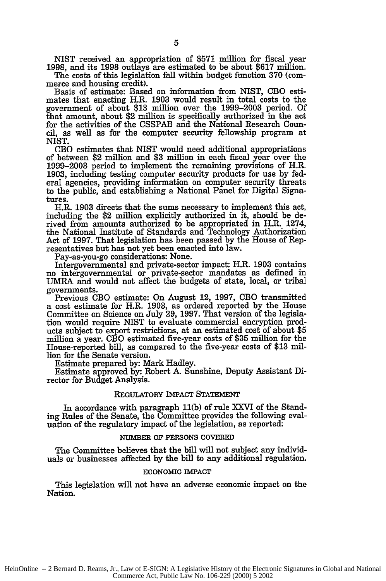NIST received an appropriation of **\$571** million for fiscal year 1998, and its 1998 outlays are estimated to be about \$617 million.

The costs of this legislation fall within budget function 370 (commerce and housing credit).

Basis of estimate: Based on information from NIST, **CBO** estimates that enacting H.R. 1903 would result in total costs to the government of about \$13 million over the 1999-2003 period. Of that amount, about \$2 million is specifically authorized in the act for the activities of the CSSPAB and the National Research Council, as well as for the computer security fellowship program at NIST.

CBO estimates that NIST would need additional appropriations of between \$2 million and \$3 million in each fiscal year over the 1999-2003 period to implement the remaining provisions of H.R. 1903, including testing computer security products for use by federal agencies, providing information on computer security threats to the public, and establishing a National Panel for Digital Signatures.

H.R. 1903 directs that the sums necessary to implement this act, including the \$2 million explicitly authorized in it, should be derived from amounts authorized to be appropriated in H.R. 1274, the National Institute of Standards and Technology Authorization Act of 1997. That legislation has been passed by the House of Representatives but has not yet been enacted into law.

Pay-as-you-go considerations: None.

Intergovernmental and private-sector impact: H.R. 1903 contains no intergovernmental or private-sector mandates as defined in UMRA and would not affect the budgets of state, local, or tribal governments.

Previous **CBO** estimate: On August 12, 1997, **CBO** transmitted a cost estimate for H.R. 1903, as ordered reported by the House Committee on Science on July 29, 1997. That version of the legislation would require NIST to evaluate commercial encryption products subject to export restrictions, at an estimated cost of about **\$5** million a year. CBO estimated five-year costs of **\$35** million for the House-reported bill, as compared to the five-year costs of **\$13** million for the Senate version.

Estimate prepared by: Mark Hadley.

Estimate approved by: Robert A. Sunshine, Deputy Assistant Director for Budget Analysis.

#### REGULATORY IMPACT **STATEMENT**

In accordance with paragraph **11(b)** of rule XXVI of the Standing Rules of the Senate, the Committee provides the following evaluation of the regulatory impact of the legislation, as reported:

#### **NUMBER OF PERSONS COVERED**

The Committee believes that the bill will not subject any individuals or businesses affected by the bill to any additional regulation.

#### **ECONOMIC IMPACT**

This legislation will not have an adverse economic impact on the Nation.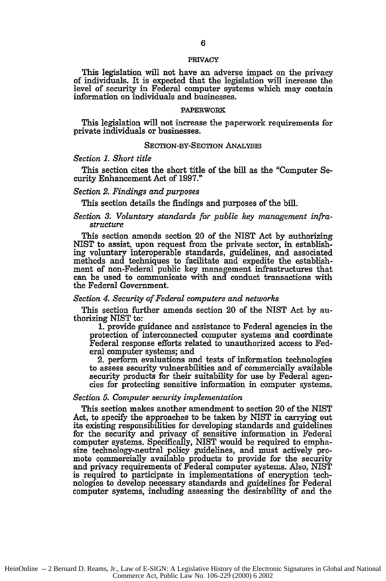#### PRIVACY

This legislation will not have an adverse impact on the privacy of individuals. It is expected that the legislation will increase the level of security in Federal computer systems which may contain information on individuals and businesses.

#### **PAPERWORK**

This legislation will not increase the paperwork requirements for private individuals or businesses.

#### **SECTION-BY-SECTION ANALYSIS**

#### *Section 1. Short title*

This section cites the short title of the bill as the "Computer Security Enhancement Act of 1997."

#### *Section 2. Findings and purposes*

This section details the findings and purposes of the bill.

#### *Section 3. Voluntary standards for public key management infra*structure

This section amends section 20 of the NIST Act by authorizing NIST to assist, upon request from the private sector, in establishing voluntary interoperable standards, guidelines, and associated methods and techniques to facilitate and expedite the establishment of non-Federal public key management infrastructures that can be used to communicate with and conduct transactions with the Federal Government.

#### *Section 4. Security of Federal computers and networks*

This section further amends section 20 of the NIST Act by authorizing NIST to:

**1.** provide guidance and assistance to Federal agencies in the protection of interconnected computer systems and coordinate Federal response efforts related to unauthorized access to Federal computer systems; and

2. perform evaluations and tests of information technologies to assess security vulnerabilities and of commercially available security products for their suitability for use by Federal agencies for protecting sensitive information in computer systems.

#### *Section* **5.** *Computer security implementation*

This section makes another amendment to section 20 of the NIST Act, to specify the approaches to be taken **by** NIST in carrying out its existing responsibilities for developing standards and guidelines for the security and privacy of sensitive information in Federal computer systems. Specifically, NIST would be required to emphasize technology-neutral policy guidelines, and must actively promote commercially available products to provide for the security and privacy requirements of Federal computer systems. Also, NIST is required to participate in implementations of encryption technologies to develop necessary standards and guidelines for Federal computer systems, including assessing the desirability of and the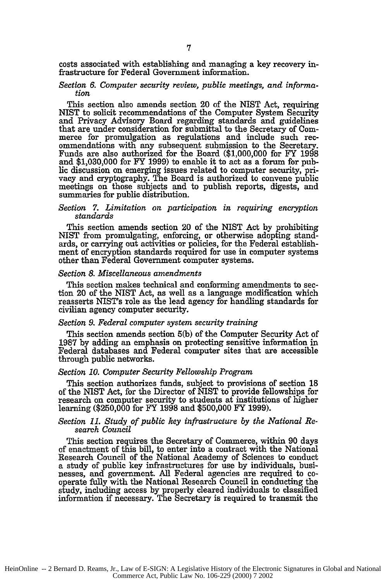costs associated with establishing and managing a key recovery infrastructure for Federal Government information.

#### *Section 6. Computer security review, public meetings, and information*

This section also amends section 20 of the NIST Act, requiring NIST to solicit recommendations of the Computer System Security and Privacy Advisory Board regarding standards and guidelines that are under consideration for submittal to the Secretary of Commerce for promulgation as regulations and include such recommendations with any subsequent submission to the Secretary. Funds are also authorized for the Board (\$1,000,000 for FY 1998 and \$1,030,000 for FY 1999) to enable it to act as a forum for public discussion on emerging issues related to computer security, privacy and cryptography. The Board is authorized to convene public meetings on those subjects and to publish reports, digests, and summaries for public distribution.

#### *Section 7. Limitation on participation in requiring encryption standards*

This section amends section 20 of the NIST Act by prohibiting NIST from promulgating, enforcing, or otherwise adopting standards, or carrying out activities or policies, for the Federal establishment of encryption standards required for use in computer systems other than Federal Government computer systems.

#### *Section 8. Miscellaneous amendments*

This section makes technical and conforming amendments to section 20 of the NIST Act, as well as a language modification which reasserts NIST's role as the lead agency for handling standards for civilian agency computer security.

#### *Section 9. Federal computer system security training*

This section amends section 5(b) of the Computer Security Act of 1987 by adding an emphasis on protecting sensitive information in Federal databases and Federal computer sites that are accessible through public networks.

#### *Section 10. Computer Security Fellowship Program*

This section authorizes funds, subject to provisions of section 18 of the NIST Act, for the Director of NIST to provide fellowships for research on computer security to students at institutions of higher learning (\$250,000 for FY 1998 and \$500,000 FY 1999).

#### *Section 11. Study of public key infrastructure by the National Research Council*

This section requires the Secretary of Commerce, within 90 days **of** enactment of this **bill,** to enter into a contract with the National Research Council of the National Academy of Sciences to conduct a study of public key infrastructures for use **by** individuals, businesses, and government. **All** Federal agencies are required to cooperate fully with the National Research Council in conducting the study, including access **by** properly cleared individuals to classified information if necessary. The Secretary is required to transmit the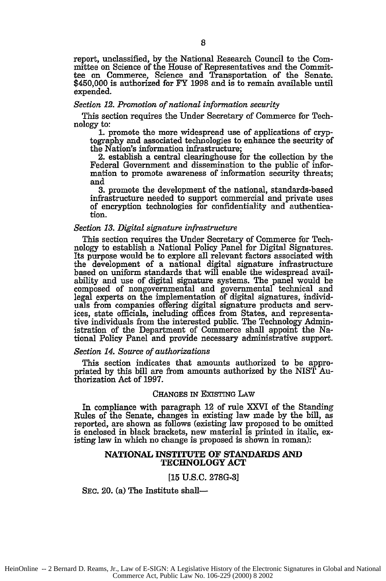report, unclassified, by the National Research Council to the Committee on Science of the House of Representatives and the Committee on Commerce, Science and Transportation of the Senate. \$450,000 is authorized for FY 1998 and is to remain available until expended.

#### *Section 12. Promotion of national information security*

This section requires the Under Secretary of Commerce for Technology to:

**1.** promote the more widespread use of applications of cryptography and associated technologies to enhance the security of the Nation's information infrastructure;

2. establish a central clearinghouse for the collection by the Federal Government and dissemination to the public of information to promote awareness of information security threats; and

**3.** promote the development of the national, standards-based infrastructure needed to support commercial and private uses of encryption technologies for confidentiality and authentication.

#### *Section 13. Digital signature infrastructure*

This section requires the Under Secretary of Commerce for Technology to establish a National Policy Panel for Digital Signatures. Its purpose would **be** to explore all relevant factors associated with the development of a national digital signature infrastructure based on uniform standards that will enable the widespread availability and use of digital signature systems. The panel would be composed of nongovernmental and governmental technical and legal experts on the implementation of digital signatures, individuals from companies offering digital signature products and services, state officials, including offices from States, and representative individuals from the interested public. The Technology Administration of the Department of Commerce shall appoint the National Policy Panel and provide necessary administrative support.

#### *Section 14. Source of authorizations*

This section indicates that amounts authorized to be appropriated by this bill are from amounts authorized by the NIST Authorization Act of 1997.

#### CHANGES IN EXIsTnG LAw

In compliance with paragraph 12 of rule XXVI of the Standing Rules of the Senate, changes in existing law made by the bill, as reported, are shown as follows (existing law proposed to be omitted is enclosed in black brackets, new material is printed in italic, existing law in which no change is proposed is shown in roman):

#### **NATIONAL INSTITUTE OF STANDARDS AND TECHNOLOGY ACT**

#### **[15 U.S.C. 278G-3]**

SEC. 20. (a) The Institute shall-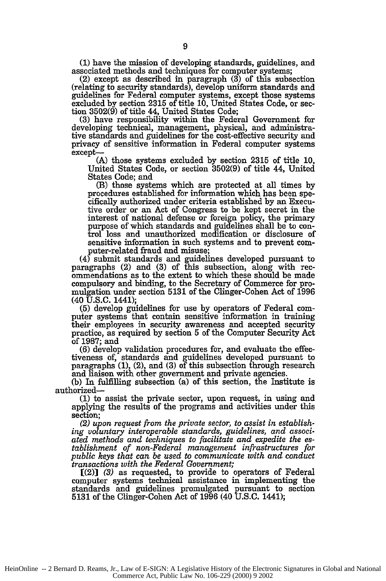**(1)** have the mission of developing standards, guidelines, and associated methods and techniques for computer systems;

(2) except as described in paragraph (3) of this subsection (relating to security standards), develop uniform standards and guidelines for Federal computer systems, except those systems excluded by section 2315 of title 10, United States Code, or section 3502(9) of title 44, United States Code;

**(3)** have responsibility within the Federal Government for developing technical, management, physical, and administrative standards and guidelines for the cost-effective security and privacy of sensitive information in Federal computer systems except-

(A) those systems excluded by section 2315 of title 10, United States Code, or section 3502(9) of title 44, United States Code; and

(B) those systems which are protected at all times by procedures established for information which has been specifically authorized under criteria established by an Executive order or an Act of Congress to be kept secret in the interest of national defense or foreign policy, the primary purpose of which standards and guidelines shall be to control loss and unauthorized modification or disclosure of sensitive information in such systems and to prevent computer-related fraud and misuse;

(4) submit standards and guidelines developed pursuant to paragraphs (2) and **(3)** of this subsection, along with recommendations as to the extent to which these should be made compulsory and binding, to the Secretary of Commerce for promulgation under section **5131** of the Clinger-Cohen Act of 1996

(40 **U.S.C.** 1441); (5) develop guidelines for use by operators of Federal computer systems that contain sensitive information in training their employees in security awareness and accepted security practice, as required by section 5 of the Computer Security Act of 1987; and

(6) develop validation procedures for, and evaluate the effectiveness of, standards and guidelines developed pursuant to paragraphs (1), (2), and (3) of this subsection through research and liaison with other government and private agencies.

(b) In fulfilling subsection (a) of this section, the Institute is authorized-

**(1)** to assist the private sector, upon request, in using and applying the results of the programs and activities under this section;

*(2) upon request from the private sector, to assist in establishing voluntary interoperable standards, guidelines, and associated methods and techniques to facilitate and expedite the establishment of non-Federal management infrastructures for public keys that can be used to communicate with and conduct transactions with the Federal Government;*

[(2)] *(3)* as requested, to provide to operators of Federal computer systems technical assistance in implementing the standards and guidelines promulgated pursuant to section 5131 of the Clinger-Cohen Act of 1996 (40 U.S.C. 1441);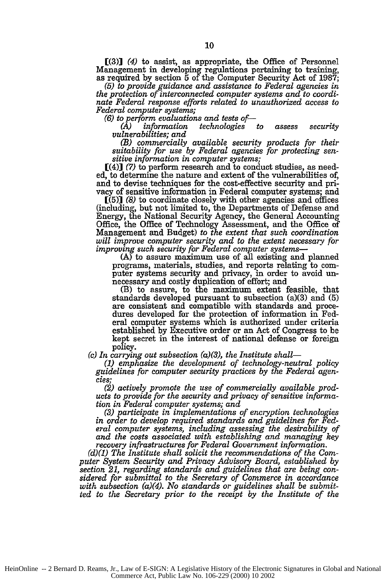**[(3)1** (4) to assist, as appropriate, the Office of Personnel Management in developing regulations pertaining to training, as required by section 5 of the Computer Security Act of 1987;

*(5) to provide guidance and assistance to Federal agencies in the protection of interconnected computer systems and to coordinate Federal response efforts related to unauthorized access to Federal computer systems;*

*(6) to perform evaluations and tests of-*

*(A) information technologies to assess security vulnerabilities; and*

*(B) commercially available security products for their suitability for use by Federal agencies for protecting sen- sitive information in computer systems;*

[(4)] (7) to perform research and to conduct studies, as needed, to determine the nature and extent of the vulnerabilities of, and to devise techniques for the cost-effective security and privacy of sensitive information in Federal computer systems; and

[(5)] *(8)* to coordinate closely with other agencies and offices (including, but not limited to, the Departments of Defense and Energy, the National Security Agency, the General Accounting Office, the Office of Technology Assessment, and the Office of Management and Budget) *to the extent that such coordination will improve computer security and to the extent necessary for improving such security for Federal computer systems-*

(A) to assure maximum use of all existing and planned programs, materials, studies, and reports relating to computer systems security and privacy, in order to avoid un- necessary and costly duplication of effort; and

(B) to assure, to the maximum extent feasible, that standards developed pursuant to subsection (a)(3) and **(5)** are consistent and compatible with standards and procedures developed for the protection of information in Federal computer systems which is authorized under criteria established by Executive order or an Act of Congress to be kept secret in the interest of national defense or foreign **po** icy.

*(c) In carrying out subsection (a)(3), the Institute shall-*

*(1) emphasize the development of technology-neutral policy guidelines for computer security practices by the Federal agencies;*

*(2) actively promote the use of commercially available products to provide for the security and privacy of sensitive information in Federal computer systems; and*

*(3) participate in implementations of encryption technologies in order to develop required standards and guidelines for Federal computer systems, including assessing the desirability of and the costs associated with establishing and managing key recovery infrastructures for Federal Government information.*

*(d)(1) The Institute shall solicit the recommendations of the Computer System Security and Privacy Advisory Board, established by section 21, regarding standards and guidelines that are being considered for submittal to the Secretary of Commerce in accordance with subsection (a)(4). No standards or guidelines shall be submitted to the Secretary prior to the receipt by the Institute of the*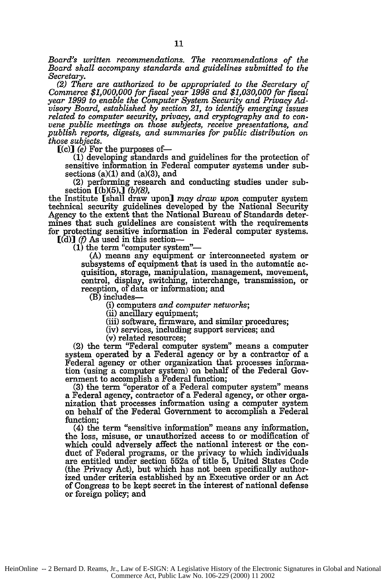*Board's written recommendations. The recommendations of the Board shall accompany standards and guidelines submitted to the*

*Secretary. (2) There are authorized to be appropriated to the Secretary of Commerce \$1,000,000 for fiscal year 1998 and \$1,030,000 for fiscal year 1999 to enable the Computer System Security and Privacy Advisory Board, established by section 21, to identify emerging issues related to computer security, privacy, and cryptography and to convene public meetings on those subjects, receive presentations, and publish reports, digests, and summaries for public distribution on*

*those subjects.* [(c)] (e) For the purposes *of-*

(1) developing standards and guidelines for the protection of sensitive information in Federal computer systems under subsections  $(a)(1)$  and  $(a)(3)$ , and

(2) performing research and conducting studies under subsection [(b)(5),] *(b)(8),*

the Institute (shall draw upon] *may draw upon* computer system technical security guidelines developed by the National Security Agency to the extent that the National Bureau of Standards determines that such guidelines are consistent with the requirements for protecting sensitive information in Federal computer systems.

 $[(d)]$  *(f)* As used in this section--<br>(1) the term "computer system"--

(A) means any equipment or interconnected system or subsystems of equipment that is used in the automatic acquisition, storage, manipulation, management, movement, control, display, switching, interchange, transmission, or reception, of data or information; and

(B) includes-

(i) computers *and computer networks;*

(ii) ancillary equipment; (iii) software, firmware, and similar procedures;

(iv) services, including support services; and

(v) related resources;

(2) the term "Federal computer system" means a computer system operated by a Federal agency or by a contractor of a Federal agency or other organization that processes information (using a computer system) on behalf of the Federal Government to accomplish a Federal function;

(3) the term "operator of a Federal computer system" means a Federal agency, contractor of a Federal agency, or other organization that processes information using a computer system on behalf of the Federal Government to accomplish a Federal function;

(4) the term "sensitive information" means any information, the loss, misuse, or unauthorized access to or modification of which could adversely affect the national interest or the conduct of Federal programs, or the privacy to which individuals are entitled under section 552a of title 5, United States Code (the Privacy Act), but which has not been specifically authorized under criteria established by an Executive order or an Act of Congress to be kept secret in the interest of national defense or foreign policy; and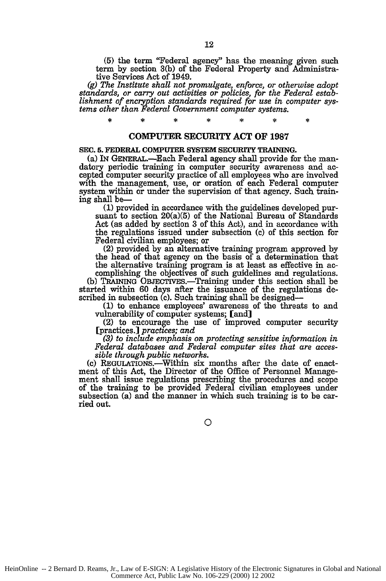**(5)** the term "Federal agency" has the meaning given such term by section 3(b) of the Federal Property and Administrative Services Act of 1949.

*(g) The Institute shall not promulgate, enforce, or otherwise adopt standards, or carry out activities or policies, for the Federal establishment of encryption standards required for use in computer systems other than Federal Government computer systems.*

## COMPUTER SECURITY **ACT OF 1987**

#### **SEC. 5. FEDERAL COMPUTER SYSTEM SECURITY TRAINING.**

(a) IN GENERAL.-Each Federal agency shall provide for the man- datory periodic training in computer security awareness and accepted computer security practice of all employees who are involved with the management, use, or oration of each Federal computer system **within** or under the supervision of that agency. Such training shall **be-**

**(1)** provided in accordance with the guidelines developed pursuant to section 20(a)(5) of the National Bureau of Standards Act (as added by section **3** of this Act), and in accordance with the regulations issued under subsection (c) of this section for

(2) provided by an alternative training program approved by the head of that agency on the basis of a determination that the alternative training program is at least as effective in ac- complishing the objectives of such guidelines and regulations.

(b) TRAINING OBJECTIVES.—Training under this section shall be started within 60 days after the issuance of the regulations described in subsection (c). Such training shall be designed-

(1) to enhance employees' awareness of the threats to and vulnerability of computer systems; [and]

(2) to encourage the use of improved computer security [practices.] *practices; and*

*(3) to include emphasis on protecting sensitive information in Federal databases and Federal computer sites that are acces- sible through public networks.*

(c) REGULATIONS.-Within six months after the date of enactment of this Act, the Director of the Office of Personnel Management shall issue regulations prescribing the procedures and scope of the training to be provided Federal civilian employees under subsection (a) and the manner in which such training is to be carried out.

HeinOnline -- 2 Bernard D. Reams, Jr., Law of E-SIGN: A Legislative History of the Electronic Signatures in Global and National Commerce Act, Public Law No. 106-229 (2000) 12 2002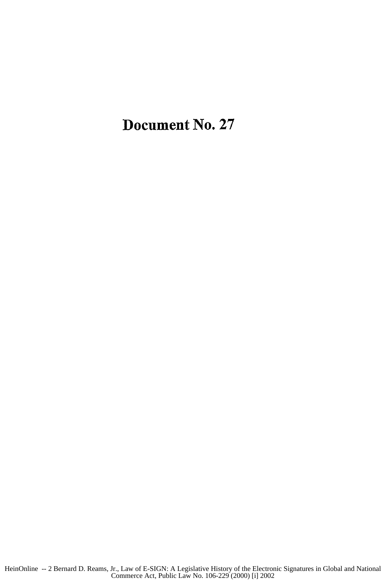## Document No. **27**